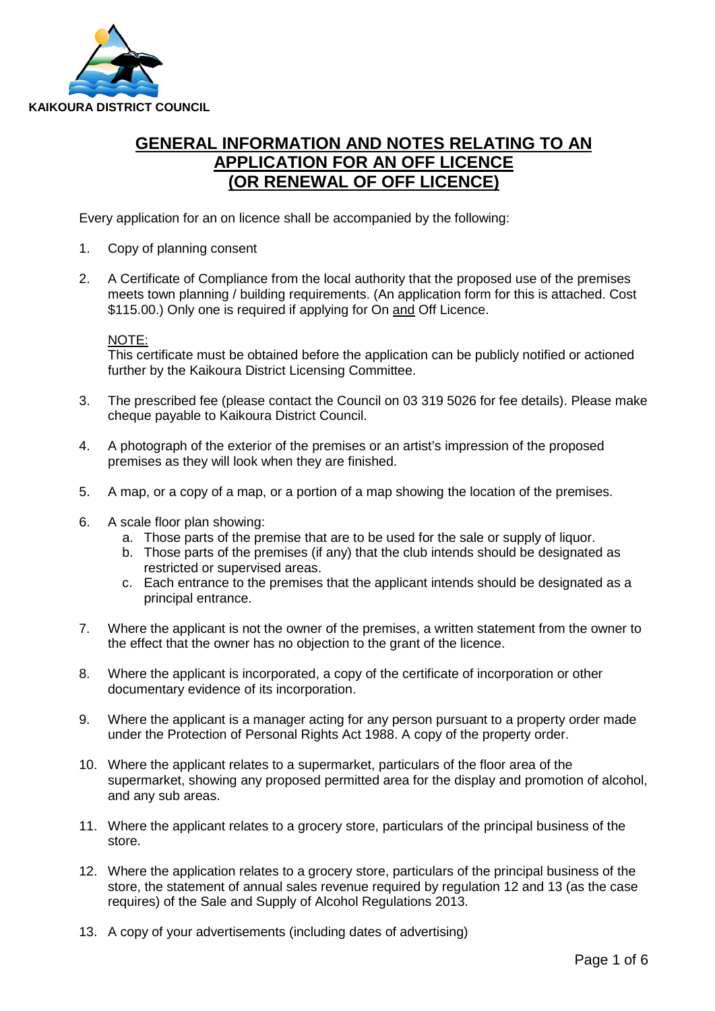

# **GENERAL INFORMATION AND NOTES RELATING TO AN APPLICATION FOR AN OFF LICENCE (OR RENEWAL OF OFF LICENCE)**

Every application for an on licence shall be accompanied by the following:

- 1. Copy of planning consent
- 2. A Certificate of Compliance from the local authority that the proposed use of the premises meets town planning / building requirements. (An application form for this is attached. Cost \$115.00.) Only one is required if applying for On and Off Licence.

NOTE:

This certificate must be obtained before the application can be publicly notified or actioned further by the Kaikoura District Licensing Committee.

- 3. The prescribed fee (please contact the Council on 03 319 5026 for fee details). Please make cheque payable to Kaikoura District Council.
- 4. A photograph of the exterior of the premises or an artist's impression of the proposed premises as they will look when they are finished.
- 5. A map, or a copy of a map, or a portion of a map showing the location of the premises.
- 6. A scale floor plan showing:
	- a. Those parts of the premise that are to be used for the sale or supply of liquor.
	- b. Those parts of the premises (if any) that the club intends should be designated as restricted or supervised areas.
	- c. Each entrance to the premises that the applicant intends should be designated as a principal entrance.
- 7. Where the applicant is not the owner of the premises, a written statement from the owner to the effect that the owner has no objection to the grant of the licence.
- 8. Where the applicant is incorporated, a copy of the certificate of incorporation or other documentary evidence of its incorporation.
- 9. Where the applicant is a manager acting for any person pursuant to a property order made under the Protection of Personal Rights Act 1988. A copy of the property order.
- 10. Where the applicant relates to a supermarket, particulars of the floor area of the supermarket, showing any proposed permitted area for the display and promotion of alcohol, and any sub areas.
- 11. Where the applicant relates to a grocery store, particulars of the principal business of the store.
- 12. Where the application relates to a grocery store, particulars of the principal business of the store, the statement of annual sales revenue required by regulation 12 and 13 (as the case requires) of the Sale and Supply of Alcohol Regulations 2013.
- 13. A copy of your advertisements (including dates of advertising)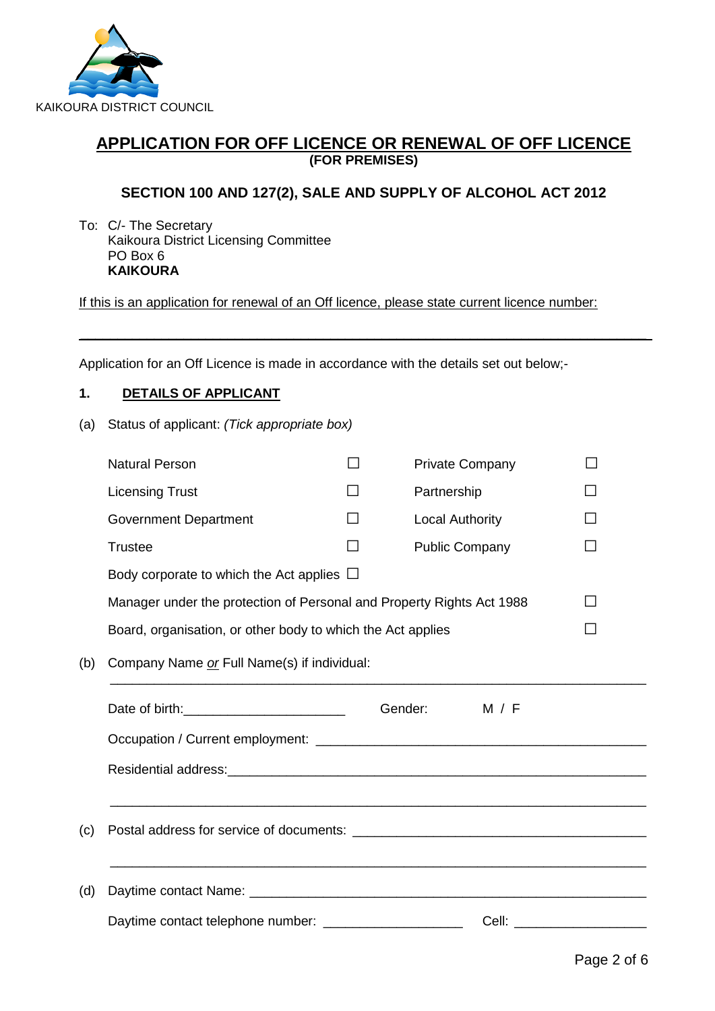

## **APPLICATION FOR OFF LICENCE OR RENEWAL OF OFF LICENCE (FOR PREMISES)**

## **SECTION 100 AND 127(2), SALE AND SUPPLY OF ALCOHOL ACT 2012**

To: C/- The Secretary Kaikoura District Licensing Committee PO Box 6 **KAIKOURA**

If this is an application for renewal of an Off licence, please state current licence number:

 $\_$  , and the set of the set of the set of the set of the set of the set of the set of the set of the set of the set of the set of the set of the set of the set of the set of the set of the set of the set of the set of th

Application for an Off Licence is made in accordance with the details set out below;-

#### **1. DETAILS OF APPLICANT**

(a) Status of applicant: *(Tick appropriate box)* 

|     | <b>Natural Person</b>                                                 |         | <b>Private Company</b> |       |    |
|-----|-----------------------------------------------------------------------|---------|------------------------|-------|----|
|     | <b>Licensing Trust</b>                                                |         | Partnership            |       |    |
|     | <b>Government Department</b>                                          | ΙI      | <b>Local Authority</b> |       |    |
|     | <b>Trustee</b>                                                        | $\sim$  | <b>Public Company</b>  |       |    |
|     | Body corporate to which the Act applies $\Box$                        |         |                        |       |    |
|     | Manager under the protection of Personal and Property Rights Act 1988 |         |                        |       | ΙI |
|     | Board, organisation, or other body to which the Act applies           |         |                        |       |    |
| (b) | Company Name or Full Name(s) if individual:                           |         |                        |       |    |
|     |                                                                       | Gender: |                        | M / F |    |
|     |                                                                       |         |                        |       |    |
|     |                                                                       |         |                        |       |    |
|     |                                                                       |         |                        |       |    |
| (c) |                                                                       |         |                        |       |    |
|     |                                                                       |         |                        |       |    |
| (d) |                                                                       |         |                        |       |    |
|     | Daytime contact telephone number: _____________________               |         |                        |       |    |
|     |                                                                       |         |                        |       |    |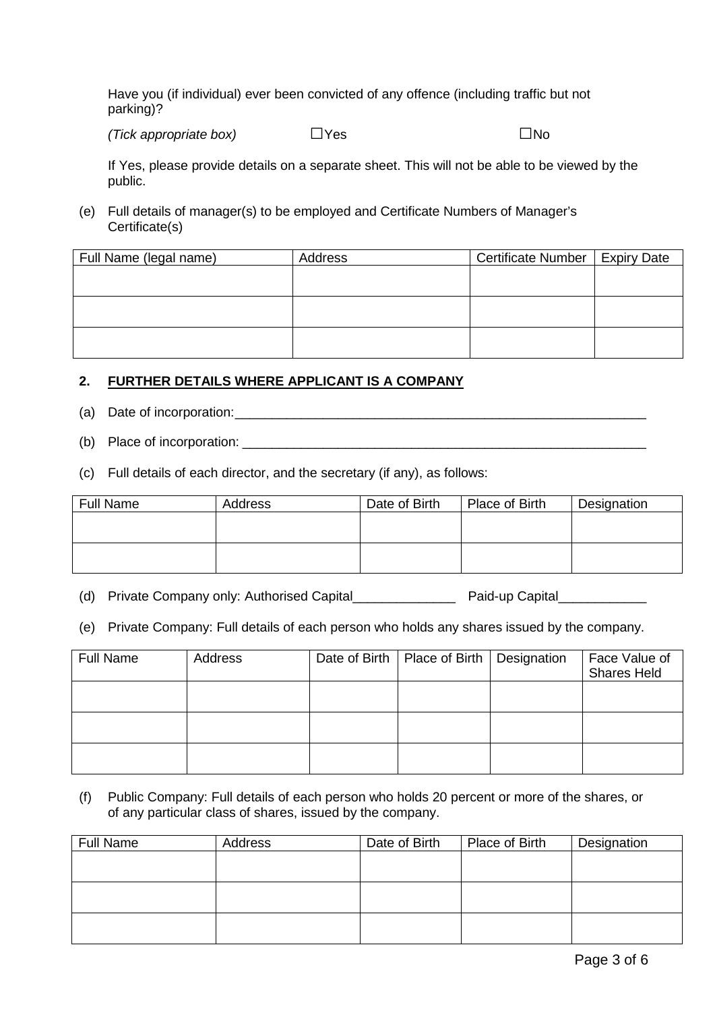Have you (if individual) ever been convicted of any offence (including traffic but not parking)?

*(Tick appropriate box)* □Yes □

If Yes, please provide details on a separate sheet. This will not be able to be viewed by the public.

(e) Full details of manager(s) to be employed and Certificate Numbers of Manager's Certificate(s)

| Full Name (legal name) | Address | Certificate Number   Expiry Date |  |
|------------------------|---------|----------------------------------|--|
|                        |         |                                  |  |
|                        |         |                                  |  |
|                        |         |                                  |  |
|                        |         |                                  |  |
|                        |         |                                  |  |
|                        |         |                                  |  |

#### **2. FURTHER DETAILS WHERE APPLICANT IS A COMPANY**

- (a) Date of incorporation:\_\_\_\_\_\_\_\_\_\_\_\_\_\_\_\_\_\_\_\_\_\_\_\_\_\_\_\_\_\_\_\_\_\_\_\_\_\_\_\_\_\_\_\_\_\_\_\_\_\_\_\_\_\_\_\_
- (b) Place of incorporation:
- (c) Full details of each director, and the secretary (if any), as follows:

| <b>Full Name</b> | Address | Date of Birth | Place of Birth | Designation |
|------------------|---------|---------------|----------------|-------------|
|                  |         |               |                |             |
|                  |         |               |                |             |
|                  |         |               |                |             |
|                  |         |               |                |             |

- (d) Private Company only: Authorised Capital\_\_\_\_\_\_\_\_\_\_\_\_\_\_ Paid-up Capital\_\_\_\_\_\_\_\_\_\_\_\_
- (e) Private Company: Full details of each person who holds any shares issued by the company.

| <b>Full Name</b> | Address | Date of Birth   Place of Birth   Designation | Face Value of<br><b>Shares Held</b> |
|------------------|---------|----------------------------------------------|-------------------------------------|
|                  |         |                                              |                                     |
|                  |         |                                              |                                     |
|                  |         |                                              |                                     |

(f) Public Company: Full details of each person who holds 20 percent or more of the shares, or of any particular class of shares, issued by the company.

| <b>Full Name</b> | Address | Date of Birth | Place of Birth | Designation |
|------------------|---------|---------------|----------------|-------------|
|                  |         |               |                |             |
|                  |         |               |                |             |
|                  |         |               |                |             |
|                  |         |               |                |             |
|                  |         |               |                |             |
|                  |         |               |                |             |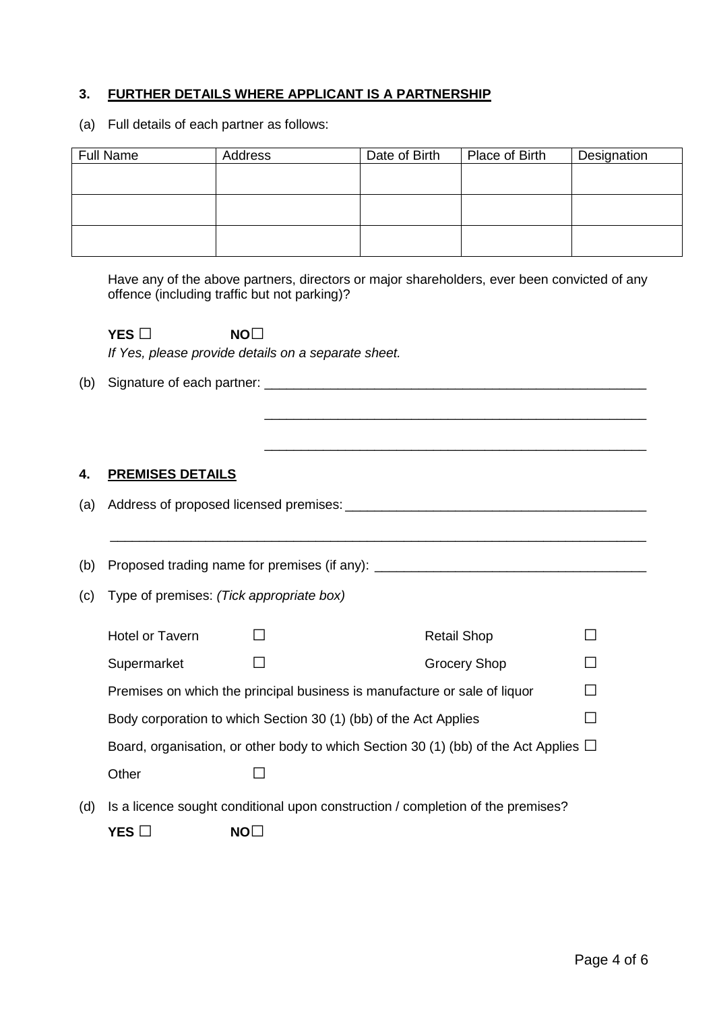### **3. FURTHER DETAILS WHERE APPLICANT IS A PARTNERSHIP**

(a) Full details of each partner as follows:

| Full Name | Address | Date of Birth | Place of Birth | Designation |
|-----------|---------|---------------|----------------|-------------|
|           |         |               |                |             |
|           |         |               |                |             |
|           |         |               |                |             |
|           |         |               |                |             |
|           |         |               |                |             |
|           |         |               |                |             |

Have any of the above partners, directors or major shareholders, ever been convicted of any offence (including traffic but not parking)?

|     | YES $\Box$                               | NO <sub>1</sub><br>If Yes, please provide details on a separate sheet.                    |                     |                |
|-----|------------------------------------------|-------------------------------------------------------------------------------------------|---------------------|----------------|
| (b) |                                          |                                                                                           |                     |                |
|     |                                          |                                                                                           |                     |                |
|     |                                          |                                                                                           |                     |                |
| 4.  | <b>PREMISES DETAILS</b>                  |                                                                                           |                     |                |
| (a) |                                          |                                                                                           |                     |                |
|     |                                          |                                                                                           |                     |                |
| (b) |                                          | Proposed trading name for premises (if any): ___________________________________          |                     |                |
| (c) | Type of premises: (Tick appropriate box) |                                                                                           |                     |                |
|     | <b>Hotel or Tavern</b>                   |                                                                                           | <b>Retail Shop</b>  |                |
|     | Supermarket                              |                                                                                           | <b>Grocery Shop</b> |                |
|     |                                          | Premises on which the principal business is manufacture or sale of liquor                 |                     |                |
|     |                                          | Body corporation to which Section 30 (1) (bb) of the Act Applies                          |                     | $\blacksquare$ |
|     |                                          | Board, organisation, or other body to which Section 30 (1) (bb) of the Act Applies $\Box$ |                     |                |
|     | Other                                    |                                                                                           |                     |                |
| (d) |                                          | Is a licence sought conditional upon construction / completion of the premises?           |                     |                |
|     | YES $\square$                            | NO <sub>1</sub>                                                                           |                     |                |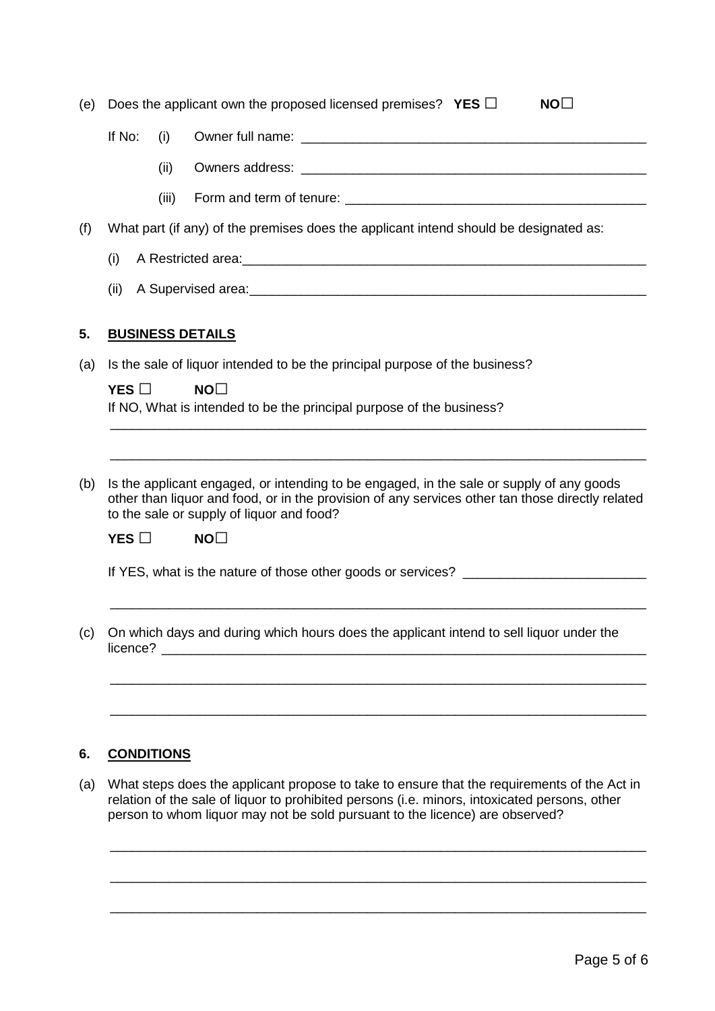| (e) |                                                                                                                                                                                                                                           |       | Does the applicant own the proposed licensed premises? YES $\Box$<br>NO <sub>1</sub>                                                                                                                                                                                         |  |  |  |
|-----|-------------------------------------------------------------------------------------------------------------------------------------------------------------------------------------------------------------------------------------------|-------|------------------------------------------------------------------------------------------------------------------------------------------------------------------------------------------------------------------------------------------------------------------------------|--|--|--|
|     | If No:                                                                                                                                                                                                                                    | (i)   |                                                                                                                                                                                                                                                                              |  |  |  |
|     |                                                                                                                                                                                                                                           | (ii)  |                                                                                                                                                                                                                                                                              |  |  |  |
|     |                                                                                                                                                                                                                                           | (iii) |                                                                                                                                                                                                                                                                              |  |  |  |
| (f) |                                                                                                                                                                                                                                           |       | What part (if any) of the premises does the applicant intend should be designated as:                                                                                                                                                                                        |  |  |  |
|     | (i)                                                                                                                                                                                                                                       |       | A Restricted area:<br><u> A Restricted area:</u>                                                                                                                                                                                                                             |  |  |  |
|     | (ii)                                                                                                                                                                                                                                      |       |                                                                                                                                                                                                                                                                              |  |  |  |
| 5.  |                                                                                                                                                                                                                                           |       | <b>BUSINESS DETAILS</b>                                                                                                                                                                                                                                                      |  |  |  |
| (a) |                                                                                                                                                                                                                                           |       | Is the sale of liquor intended to be the principal purpose of the business?                                                                                                                                                                                                  |  |  |  |
|     | YES $\Box$                                                                                                                                                                                                                                |       | NO <sub>1</sub><br>If NO, What is intended to be the principal purpose of the business?                                                                                                                                                                                      |  |  |  |
|     |                                                                                                                                                                                                                                           |       |                                                                                                                                                                                                                                                                              |  |  |  |
|     |                                                                                                                                                                                                                                           |       |                                                                                                                                                                                                                                                                              |  |  |  |
| (b) | Is the applicant engaged, or intending to be engaged, in the sale or supply of any goods<br>other than liquor and food, or in the provision of any services other tan those directly related<br>to the sale or supply of liquor and food? |       |                                                                                                                                                                                                                                                                              |  |  |  |
|     | YES $\Box$<br>NO <sub>1</sub>                                                                                                                                                                                                             |       |                                                                                                                                                                                                                                                                              |  |  |  |
|     | If YES, what is the nature of those other goods or services? ___________________                                                                                                                                                          |       |                                                                                                                                                                                                                                                                              |  |  |  |
|     |                                                                                                                                                                                                                                           |       |                                                                                                                                                                                                                                                                              |  |  |  |
| (c) | licence?                                                                                                                                                                                                                                  |       | On which days and during which hours does the applicant intend to sell liquor under the                                                                                                                                                                                      |  |  |  |
|     |                                                                                                                                                                                                                                           |       |                                                                                                                                                                                                                                                                              |  |  |  |
|     |                                                                                                                                                                                                                                           |       |                                                                                                                                                                                                                                                                              |  |  |  |
|     |                                                                                                                                                                                                                                           |       |                                                                                                                                                                                                                                                                              |  |  |  |
| 6.  | <b>CONDITIONS</b>                                                                                                                                                                                                                         |       |                                                                                                                                                                                                                                                                              |  |  |  |
| (a) |                                                                                                                                                                                                                                           |       | What steps does the applicant propose to take to ensure that the requirements of the Act in<br>relation of the sale of liquor to prohibited persons (i.e. minors, intoxicated persons, other<br>person to whom liquor may not be sold pursuant to the licence) are observed? |  |  |  |
|     |                                                                                                                                                                                                                                           |       |                                                                                                                                                                                                                                                                              |  |  |  |

\_\_\_\_\_\_\_\_\_\_\_\_\_\_\_\_\_\_\_\_\_\_\_\_\_\_\_\_\_\_\_\_\_\_\_\_\_\_\_\_\_\_\_\_\_\_\_\_\_\_\_\_\_\_\_\_\_\_\_\_\_\_\_\_\_\_\_\_\_\_\_\_\_

\_\_\_\_\_\_\_\_\_\_\_\_\_\_\_\_\_\_\_\_\_\_\_\_\_\_\_\_\_\_\_\_\_\_\_\_\_\_\_\_\_\_\_\_\_\_\_\_\_\_\_\_\_\_\_\_\_\_\_\_\_\_\_\_\_\_\_\_\_\_\_\_\_